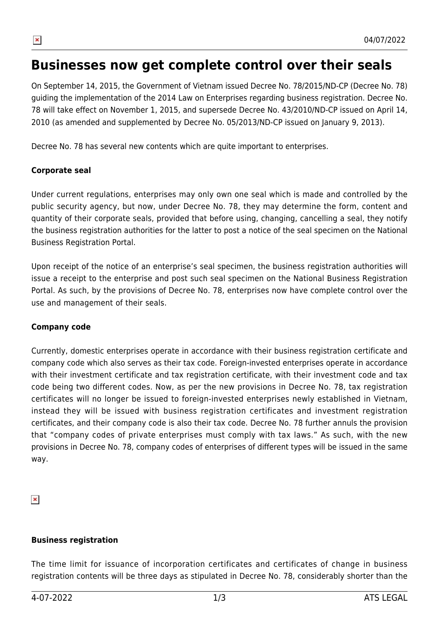

# **Businesses now get complete control over their seals**

*On September 14, 2015, the Government of Vietnam issued Decree No. 78/2015/ND-CP (Decree No. 78) guiding the implementation of the 2014 Law on Enterprises regarding business registration. Decree No. 78 will take effect on November 1, 2015, and supersede Decree No. 43/2010/ND-CP issued on April 14, 2010 (as amended and supplemented by Decree No. 05/2013/ND-CP issued on January 9, 2013).*

*Decree No. 78 has several new contents which are quite important to enterprises.*

#### **Corporate seal**

*Under current regulations, enterprises may only own one seal which is made and controlled by the public security agency, but now, under Decree No. 78, they may determine the form, content and quantity of their corporate seals, provided that before using, changing, cancelling a seal, they notify* the business registration authorities for the latter to post a notice of the seal specimen on the National *Business Registration Portal.*

*Upon receipt of the notice of an enterprise's seal specimen, the business registration authorities will issue a receipt to the enterprise and post such seal specimen on the National Business Registration Portal. As such, by the provisions of Decree No. 78, enterprises now have complete control over the use and management of their seals.*

#### **Company code**

*Currently, domestic enterprises operate in accordance with their business registration certificate and company code which also serves as their tax code. Foreign-invested enterprises operate in accordance with their investment certificate and tax registration certificate, with their investment code and tax code being two different codes. Now, as per the new provisions in Decree No. 78, tax registration certificates will no longer be issued to foreign-invested enterprises newly established in Vietnam, instead they will be issued with business registration certificates and investment registration certificates, and their company code is also their tax code. Decree No. 78 further annuls the provision that "company codes of private enterprises must comply with tax laws." As such, with the new* provisions in Decree No. 78, company codes of enterprises of different types will be issued in the same *way.*

 $\pmb{\times}$ 

#### **Business registration**

*The time limit for issuance of incorporation certificates and certificates of change in business registration contents will be three days as stipulated in Decree No. 78, considerably shorter than the*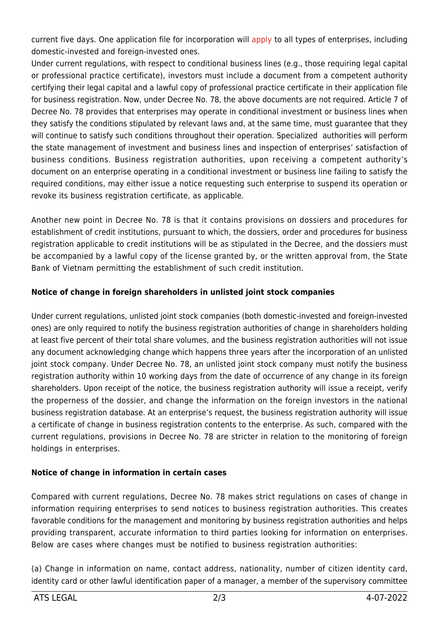*current five days. One application file for incorporation will apply to all types of enterprises, including domestic-invested and foreign-invested ones.*

*Under current regulations, with respect to conditional business lines (e.g., those requiring legal capital or professional practice certificate), investors must include a [do](http://atslegal.vn/apply/)cument from a competent authority certifying their legal capital and a lawful copy of professional practice certificate in their application file for business registration. Now, under Decree No. 78, the above documents are not required. Article 7 of Decree No. 78 provides that enterprises may operate in conditional investment or business lines when they satisfy the conditions stipulated by relevant laws and, at the same time, must guarantee that they will continue to satisfy such conditions throughout their operation. Specialized authorities will perform the state management of investment and business lines and inspection of enterprises' satisfaction of business conditions. Business registration authorities, upon receiving a competent authority's document on an enterprise operating in a conditional investment or business line failing to satisfy the required conditions, may either issue a notice requesting such enterprise to suspend its operation or revoke its business registration certificate, as applicable.*

*Another new point in Decree No. 78 is that it contains provisions on dossiers and procedures for establishment of credit institutions, pursuant to which, the dossiers, order and procedures for business registration applicable to credit institutions will be as stipulated in the Decree, and the dossiers must be accompanied by a lawful copy of the license granted by, or the written approval from, the State Bank of Vietnam permitting the establishment of such credit institution.*

# **Notice of change in foreign shareholders in unlisted joint stock companies**

*Under current regulations, unlisted joint stock companies (both domestic-invested and foreign-invested ones) are only required to notify the business registration authorities of change in shareholders holding* at least five percent of their total share volumes, and the business registration authorities will not issue *any document acknowledging change which happens three years after the incorporation of an unlisted joint stock company. Under Decree No. 78, an unlisted joint stock company must notify the business registration authority within 10 working days from the date of occurrence of any change in its foreign shareholders. Upon receipt of the notice, the business registration authority will issue a receipt, verify the properness of the dossier, and change the information on the foreign investors in the national business registration database. At an enterprise's request, the business registration authority will issue a certificate of change in business registration contents to the enterprise. As such, compared with the current regulations, provisions in Decree No. 78 are stricter in relation to the monitoring of foreign holdings in enterprises.*

## **Notice of change in information in certain cases**

*Compared with current regulations, Decree No. 78 makes strict regulations on cases of change in information requiring enterprises to send notices to business registration authorities. This creates favorable conditions for the management and monitoring by business registration authorities and helps providing transparent, accurate information to third parties looking for information on enterprises. Below are cases where changes must be notified to business registration authorities:*

*(a) Change in information on name, contact address, nationality, number of citizen identity card, identity card or other lawful identification paper of a manager, a member of the supervisory committee*